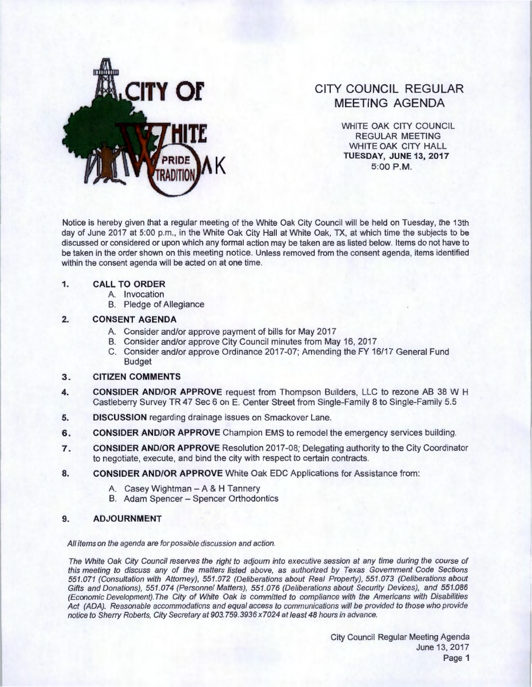

# **CITY COUNCIL REGULAR MEETING AGENDA**

WHITE OAK CITY COUNCIL REGULAR MEETING WHITE OAK CITY HALL **K TUESDAY, JUNE13,2017**  5:00 P.M.

Notice is hereby given that a regular meeting of the White Oak City Council will be held on Tuesday, the 13th day of June 2017 at 5:00 p.m., in the White Oak City Hall at White Oak, TX, at which time the subjects to be discussed or considered or upon which any formal action may be taken are as listed below. Items do not have to be taken in the order shown on this meeting notice. Unless removed from the consent agenda, items identified within the consent agenda will be acted on at one time.

#### **1. CALL TO ORDER**

- A. Invocation
- B. Pledge of Allegiance

## **2. CONSENT AGENDA**

- A. Consider and/or approve payment of bills for May 2017
- B. Consider and/or approve City Council minutes from May 16, 2017
- C. Consider and/or approve Ordinance 2017 -07; Amending the FY 16/17 General Fund Budget

## **3. CITIZEN COMMENTS**

- **4. CONSIDER AND/OR APPROVE** request from Thompson Builders, LLC to rezone AB 38 W H Castleberry Survey TR 47 Sec 6 on E. Center Street from Single-Family 8 to Single-Family 5.5
- **5. DISCUSSION** regarding drainage issues on Smackover Lane.
- **6. CONSIDER AND/OR APPROVE** Champion EMS to remodel the emergency services building.
- **7. CONSIDER AND/OR APPROVE** Resolution 2017-08; Delegating authority to the City Coordinator to negotiate, execute, and bind the city with respect to certain contracts.
- **8. CONSIDER AND/OR APPROVE** White Oak EDC Applications for Assistance from :
	- A. Casey Wightman- A & H Tannery
	- B. Adam Spencer Spencer Orthodontics

## **9. ADJOURNMENT**

All items on the agenda are for possible discussion and action.

The White Oak City Council reserves the right to adjourn into executive session at any time during the course of this meeting to discuss any of the matters listed above, as authorized by Texas Government Code Sections 551 .071 (Consultation with Attorney), 551 .072 (Deliberations about Real Property), 551 .073 (Deliberations about Gifts and Donations), 551.074 (Personnel Matters), 551.076 (Deliberations about Security Devices), and 551.086 (Economic Development). The City of White Oak is committed to compliance with the Americans with Disabilities Act (ADA). Reasonable accommodations and equal access to communications will be provided to those who provide notice to Sherry Roberts, City Secretary at 903.759.3936 x7024 at least 48 hours in advance.